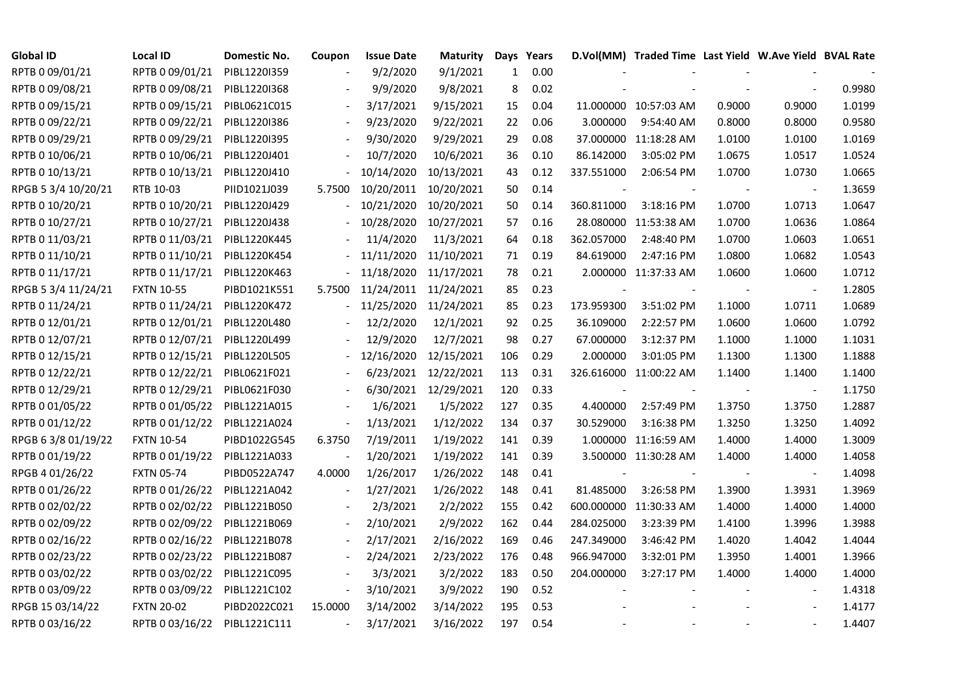| <b>Global ID</b>    | <b>Local ID</b>   | Domestic No. | Coupon         | <b>Issue Date</b>     | <b>Maturity</b>      |              | Days Years |            | D.Vol(MM) Traded Time Last Yield W.Ave Yield BVAL Rate |        |                          |        |
|---------------------|-------------------|--------------|----------------|-----------------------|----------------------|--------------|------------|------------|--------------------------------------------------------|--------|--------------------------|--------|
| RPTB 0 09/01/21     | RPTB 0 09/01/21   | PIBL1220I359 |                | 9/2/2020              | 9/1/2021             | $\mathbf{1}$ | 0.00       |            |                                                        |        |                          |        |
| RPTB 0 09/08/21     | RPTB 0 09/08/21   | PIBL1220I368 |                | 9/9/2020              | 9/8/2021             | 8            | 0.02       |            |                                                        |        |                          | 0.9980 |
| RPTB 0 09/15/21     | RPTB 0 09/15/21   | PIBL0621C015 |                | 3/17/2021             | 9/15/2021            | 15           | 0.04       |            | 11.000000 10:57:03 AM                                  | 0.9000 | 0.9000                   | 1.0199 |
| RPTB 0 09/22/21     | RPTB 0 09/22/21   | PIBL1220I386 | $\overline{a}$ | 9/23/2020             | 9/22/2021            | 22           | 0.06       | 3.000000   | 9:54:40 AM                                             | 0.8000 | 0.8000                   | 0.9580 |
| RPTB 0 09/29/21     | RPTB 0 09/29/21   | PIBL1220I395 |                | 9/30/2020             | 9/29/2021            | 29           | 0.08       |            | 37.000000 11:18:28 AM                                  | 1.0100 | 1.0100                   | 1.0169 |
| RPTB 0 10/06/21     | RPTB 0 10/06/21   | PIBL1220J401 |                | 10/7/2020             | 10/6/2021            | 36           | 0.10       | 86.142000  | 3:05:02 PM                                             | 1.0675 | 1.0517                   | 1.0524 |
| RPTB 0 10/13/21     | RPTB 0 10/13/21   | PIBL1220J410 |                | 10/14/2020            | 10/13/2021           | 43           | 0.12       | 337.551000 | 2:06:54 PM                                             | 1.0700 | 1.0730                   | 1.0665 |
| RPGB 5 3/4 10/20/21 | RTB 10-03         | PIID1021J039 | 5.7500         | 10/20/2011            | 10/20/2021           | 50           | 0.14       |            |                                                        |        | $\overline{\phantom{a}}$ | 1.3659 |
| RPTB 0 10/20/21     | RPTB 0 10/20/21   | PIBL1220J429 |                | 10/21/2020            | 10/20/2021           | 50           | 0.14       | 360.811000 | 3:18:16 PM                                             | 1.0700 | 1.0713                   | 1.0647 |
| RPTB 0 10/27/21     | RPTB 0 10/27/21   | PIBL1220J438 |                | 10/28/2020            | 10/27/2021           | 57           | 0.16       | 28.080000  | 11:53:38 AM                                            | 1.0700 | 1.0636                   | 1.0864 |
| RPTB 0 11/03/21     | RPTB 0 11/03/21   | PIBL1220K445 |                | 11/4/2020             | 11/3/2021            | 64           | 0.18       | 362.057000 | 2:48:40 PM                                             | 1.0700 | 1.0603                   | 1.0651 |
| RPTB 0 11/10/21     | RPTB 0 11/10/21   | PIBL1220K454 |                | 11/11/2020            | 11/10/2021           | 71           | 0.19       | 84.619000  | 2:47:16 PM                                             | 1.0800 | 1.0682                   | 1.0543 |
| RPTB 0 11/17/21     | RPTB 0 11/17/21   | PIBL1220K463 |                | 11/18/2020            | 11/17/2021           | 78           | 0.21       |            | 2.000000 11:37:33 AM                                   | 1.0600 | 1.0600                   | 1.0712 |
| RPGB 5 3/4 11/24/21 | <b>FXTN 10-55</b> | PIBD1021K551 | 5.7500         | 11/24/2011 11/24/2021 |                      | 85           | 0.23       |            |                                                        |        | $\overline{\phantom{a}}$ | 1.2805 |
| RPTB 0 11/24/21     | RPTB 0 11/24/21   | PIBL1220K472 |                | 11/25/2020 11/24/2021 |                      | 85           | 0.23       | 173.959300 | 3:51:02 PM                                             | 1.1000 | 1.0711                   | 1.0689 |
| RPTB 0 12/01/21     | RPTB 0 12/01/21   | PIBL1220L480 |                | 12/2/2020             | 12/1/2021            | 92           | 0.25       | 36.109000  | 2:22:57 PM                                             | 1.0600 | 1.0600                   | 1.0792 |
| RPTB 0 12/07/21     | RPTB 0 12/07/21   | PIBL1220L499 |                | 12/9/2020             | 12/7/2021            | 98           | 0.27       | 67.000000  | 3:12:37 PM                                             | 1.1000 | 1.1000                   | 1.1031 |
| RPTB 0 12/15/21     | RPTB 0 12/15/21   | PIBL1220L505 |                | 12/16/2020            | 12/15/2021           | 106          | 0.29       | 2.000000   | 3:01:05 PM                                             | 1.1300 | 1.1300                   | 1.1888 |
| RPTB 0 12/22/21     | RPTB 0 12/22/21   | PIBL0621F021 |                | 6/23/2021             | 12/22/2021           | 113          | 0.31       |            | 326.616000 11:00:22 AM                                 | 1.1400 | 1.1400                   | 1.1400 |
| RPTB 0 12/29/21     | RPTB 0 12/29/21   | PIBL0621F030 |                |                       | 6/30/2021 12/29/2021 | 120          | 0.33       |            |                                                        |        | $\overline{\phantom{a}}$ | 1.1750 |
| RPTB 0 01/05/22     | RPTB 0 01/05/22   | PIBL1221A015 |                | 1/6/2021              | 1/5/2022             | 127          | 0.35       | 4.400000   | 2:57:49 PM                                             | 1.3750 | 1.3750                   | 1.2887 |
| RPTB 0 01/12/22     | RPTB 0 01/12/22   | PIBL1221A024 | $\blacksquare$ | 1/13/2021             | 1/12/2022            | 134          | 0.37       | 30.529000  | 3:16:38 PM                                             | 1.3250 | 1.3250                   | 1.4092 |
| RPGB 63/8 01/19/22  | <b>FXTN 10-54</b> | PIBD1022G545 | 6.3750         | 7/19/2011             | 1/19/2022            | 141          | 0.39       |            | 1.000000 11:16:59 AM                                   | 1.4000 | 1.4000                   | 1.3009 |
| RPTB 0 01/19/22     | RPTB 0 01/19/22   | PIBL1221A033 |                | 1/20/2021             | 1/19/2022            | 141          | 0.39       |            | 3.500000 11:30:28 AM                                   | 1.4000 | 1.4000                   | 1.4058 |
| RPGB 4 01/26/22     | <b>FXTN 05-74</b> | PIBD0522A747 | 4.0000         | 1/26/2017             | 1/26/2022            | 148          | 0.41       |            |                                                        |        |                          | 1.4098 |
| RPTB 0 01/26/22     | RPTB 0 01/26/22   | PIBL1221A042 |                | 1/27/2021             | 1/26/2022            | 148          | 0.41       | 81.485000  | 3:26:58 PM                                             | 1.3900 | 1.3931                   | 1.3969 |
| RPTB 0 02/02/22     | RPTB 0 02/02/22   | PIBL1221B050 |                | 2/3/2021              | 2/2/2022             | 155          | 0.42       | 600.000000 | 11:30:33 AM                                            | 1.4000 | 1.4000                   | 1.4000 |
| RPTB 0 02/09/22     | RPTB 0 02/09/22   | PIBL1221B069 |                | 2/10/2021             | 2/9/2022             | 162          | 0.44       | 284.025000 | 3:23:39 PM                                             | 1.4100 | 1.3996                   | 1.3988 |
| RPTB 0 02/16/22     | RPTB 0 02/16/22   | PIBL1221B078 |                | 2/17/2021             | 2/16/2022            | 169          | 0.46       | 247.349000 | 3:46:42 PM                                             | 1.4020 | 1.4042                   | 1.4044 |
| RPTB 0 02/23/22     | RPTB 0 02/23/22   | PIBL1221B087 |                | 2/24/2021             | 2/23/2022            | 176          | 0.48       | 966.947000 | 3:32:01 PM                                             | 1.3950 | 1.4001                   | 1.3966 |
| RPTB 0 03/02/22     | RPTB 0 03/02/22   | PIBL1221C095 |                | 3/3/2021              | 3/2/2022             | 183          | 0.50       | 204.000000 | 3:27:17 PM                                             | 1.4000 | 1.4000                   | 1.4000 |
| RPTB 0 03/09/22     | RPTB 0 03/09/22   | PIBL1221C102 | $\blacksquare$ | 3/10/2021             | 3/9/2022             | 190          | 0.52       |            |                                                        |        |                          | 1.4318 |
| RPGB 15 03/14/22    | <b>FXTN 20-02</b> | PIBD2022C021 | 15.0000        | 3/14/2002             | 3/14/2022            | 195          | 0.53       |            |                                                        |        |                          | 1.4177 |
| RPTB 0 03/16/22     | RPTB 0 03/16/22   | PIBL1221C111 | $\blacksquare$ | 3/17/2021             | 3/16/2022            | 197          | 0.54       |            |                                                        |        |                          | 1.4407 |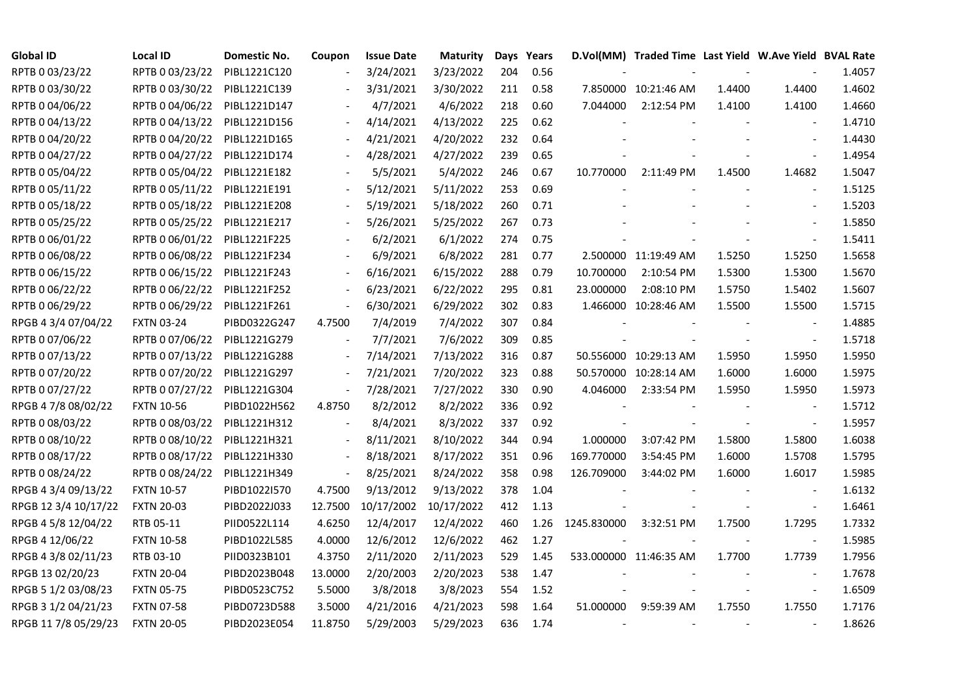| <b>Global ID</b>     | <b>Local ID</b>   | Domestic No. | Coupon                   | <b>Issue Date</b> | <b>Maturity</b> |     | Days Years |             | D.Vol(MM) Traded Time Last Yield W.Ave Yield BVAL Rate |        |                          |        |
|----------------------|-------------------|--------------|--------------------------|-------------------|-----------------|-----|------------|-------------|--------------------------------------------------------|--------|--------------------------|--------|
| RPTB 0 03/23/22      | RPTB 0 03/23/22   | PIBL1221C120 |                          | 3/24/2021         | 3/23/2022       | 204 | 0.56       |             |                                                        |        |                          | 1.4057 |
| RPTB 0 03/30/22      | RPTB 0 03/30/22   | PIBL1221C139 |                          | 3/31/2021         | 3/30/2022       | 211 | 0.58       |             | 7.850000 10:21:46 AM                                   | 1.4400 | 1.4400                   | 1.4602 |
| RPTB 0 04/06/22      | RPTB 0 04/06/22   | PIBL1221D147 |                          | 4/7/2021          | 4/6/2022        | 218 | 0.60       | 7.044000    | 2:12:54 PM                                             | 1.4100 | 1.4100                   | 1.4660 |
| RPTB 0 04/13/22      | RPTB 0 04/13/22   | PIBL1221D156 | $\overline{\phantom{a}}$ | 4/14/2021         | 4/13/2022       | 225 | 0.62       |             |                                                        |        | $\blacksquare$           | 1.4710 |
| RPTB 0 04/20/22      | RPTB 0 04/20/22   | PIBL1221D165 |                          | 4/21/2021         | 4/20/2022       | 232 | 0.64       |             |                                                        |        |                          | 1.4430 |
| RPTB 0 04/27/22      | RPTB 0 04/27/22   | PIBL1221D174 |                          | 4/28/2021         | 4/27/2022       | 239 | 0.65       |             |                                                        |        |                          | 1.4954 |
| RPTB 0 05/04/22      | RPTB 0 05/04/22   | PIBL1221E182 |                          | 5/5/2021          | 5/4/2022        | 246 | 0.67       | 10.770000   | 2:11:49 PM                                             | 1.4500 | 1.4682                   | 1.5047 |
| RPTB 0 05/11/22      | RPTB 0 05/11/22   | PIBL1221E191 |                          | 5/12/2021         | 5/11/2022       | 253 | 0.69       |             |                                                        |        | $\overline{\phantom{a}}$ | 1.5125 |
| RPTB 0 05/18/22      | RPTB 0 05/18/22   | PIBL1221E208 |                          | 5/19/2021         | 5/18/2022       | 260 | 0.71       |             |                                                        |        |                          | 1.5203 |
| RPTB 0 05/25/22      | RPTB 0 05/25/22   | PIBL1221E217 | $\overline{\phantom{a}}$ | 5/26/2021         | 5/25/2022       | 267 | 0.73       |             |                                                        |        | $\overline{a}$           | 1.5850 |
| RPTB 0 06/01/22      | RPTB 0 06/01/22   | PIBL1221F225 | $\frac{1}{2}$            | 6/2/2021          | 6/1/2022        | 274 | 0.75       |             |                                                        |        | $\blacksquare$           | 1.5411 |
| RPTB 0 06/08/22      | RPTB 0 06/08/22   | PIBL1221F234 |                          | 6/9/2021          | 6/8/2022        | 281 | 0.77       |             | 2.500000 11:19:49 AM                                   | 1.5250 | 1.5250                   | 1.5658 |
| RPTB 0 06/15/22      | RPTB 0 06/15/22   | PIBL1221F243 | $\overline{\phantom{a}}$ | 6/16/2021         | 6/15/2022       | 288 | 0.79       | 10.700000   | 2:10:54 PM                                             | 1.5300 | 1.5300                   | 1.5670 |
| RPTB 0 06/22/22      | RPTB 0 06/22/22   | PIBL1221F252 | $\blacksquare$           | 6/23/2021         | 6/22/2022       | 295 | 0.81       | 23.000000   | 2:08:10 PM                                             | 1.5750 | 1.5402                   | 1.5607 |
| RPTB 0 06/29/22      | RPTB 0 06/29/22   | PIBL1221F261 | $\overline{\phantom{a}}$ | 6/30/2021         | 6/29/2022       | 302 | 0.83       |             | 1.466000 10:28:46 AM                                   | 1.5500 | 1.5500                   | 1.5715 |
| RPGB 4 3/4 07/04/22  | <b>FXTN 03-24</b> | PIBD0322G247 | 4.7500                   | 7/4/2019          | 7/4/2022        | 307 | 0.84       |             |                                                        |        |                          | 1.4885 |
| RPTB 0 07/06/22      | RPTB 0 07/06/22   | PIBL1221G279 | $\overline{\phantom{a}}$ | 7/7/2021          | 7/6/2022        | 309 | 0.85       |             |                                                        |        | $\overline{\phantom{a}}$ | 1.5718 |
| RPTB 0 07/13/22      | RPTB 0 07/13/22   | PIBL1221G288 | $\overline{\phantom{a}}$ | 7/14/2021         | 7/13/2022       | 316 | 0.87       |             | 50.556000 10:29:13 AM                                  | 1.5950 | 1.5950                   | 1.5950 |
| RPTB 0 07/20/22      | RPTB 0 07/20/22   | PIBL1221G297 | $\blacksquare$           | 7/21/2021         | 7/20/2022       | 323 | 0.88       |             | 50.570000 10:28:14 AM                                  | 1.6000 | 1.6000                   | 1.5975 |
| RPTB 0 07/27/22      | RPTB 0 07/27/22   | PIBL1221G304 | $\blacksquare$           | 7/28/2021         | 7/27/2022       | 330 | 0.90       | 4.046000    | 2:33:54 PM                                             | 1.5950 | 1.5950                   | 1.5973 |
| RPGB 4 7/8 08/02/22  | <b>FXTN 10-56</b> | PIBD1022H562 | 4.8750                   | 8/2/2012          | 8/2/2022        | 336 | 0.92       |             |                                                        |        | $\overline{\phantom{a}}$ | 1.5712 |
| RPTB 0 08/03/22      | RPTB 0 08/03/22   | PIBL1221H312 |                          | 8/4/2021          | 8/3/2022        | 337 | 0.92       |             |                                                        |        | $\blacksquare$           | 1.5957 |
| RPTB 0 08/10/22      | RPTB 0 08/10/22   | PIBL1221H321 |                          | 8/11/2021         | 8/10/2022       | 344 | 0.94       | 1.000000    | 3:07:42 PM                                             | 1.5800 | 1.5800                   | 1.6038 |
| RPTB 0 08/17/22      | RPTB 0 08/17/22   | PIBL1221H330 | $\blacksquare$           | 8/18/2021         | 8/17/2022       | 351 | 0.96       | 169.770000  | 3:54:45 PM                                             | 1.6000 | 1.5708                   | 1.5795 |
| RPTB 0 08/24/22      | RPTB 0 08/24/22   | PIBL1221H349 | $\overline{\phantom{a}}$ | 8/25/2021         | 8/24/2022       | 358 | 0.98       | 126.709000  | 3:44:02 PM                                             | 1.6000 | 1.6017                   | 1.5985 |
| RPGB 4 3/4 09/13/22  | <b>FXTN 10-57</b> | PIBD1022I570 | 4.7500                   | 9/13/2012         | 9/13/2022       | 378 | 1.04       |             |                                                        |        | $\overline{\phantom{a}}$ | 1.6132 |
| RPGB 12 3/4 10/17/22 | <b>FXTN 20-03</b> | PIBD2022J033 | 12.7500                  | 10/17/2002        | 10/17/2022      | 412 | 1.13       |             |                                                        |        | $\blacksquare$           | 1.6461 |
| RPGB 4 5/8 12/04/22  | RTB 05-11         | PIID0522L114 | 4.6250                   | 12/4/2017         | 12/4/2022       | 460 | 1.26       | 1245.830000 | 3:32:51 PM                                             | 1.7500 | 1.7295                   | 1.7332 |
| RPGB 4 12/06/22      | <b>FXTN 10-58</b> | PIBD1022L585 | 4.0000                   | 12/6/2012         | 12/6/2022       | 462 | 1.27       |             |                                                        |        | $\overline{\phantom{a}}$ | 1.5985 |
| RPGB 4 3/8 02/11/23  | RTB 03-10         | PIID0323B101 | 4.3750                   | 2/11/2020         | 2/11/2023       | 529 | 1.45       |             | 533.000000 11:46:35 AM                                 | 1.7700 | 1.7739                   | 1.7956 |
| RPGB 13 02/20/23     | <b>FXTN 20-04</b> | PIBD2023B048 | 13.0000                  | 2/20/2003         | 2/20/2023       | 538 | 1.47       |             |                                                        |        |                          | 1.7678 |
| RPGB 5 1/2 03/08/23  | <b>FXTN 05-75</b> | PIBD0523C752 | 5.5000                   | 3/8/2018          | 3/8/2023        | 554 | 1.52       |             |                                                        |        | $\overline{\phantom{a}}$ | 1.6509 |
| RPGB 3 1/2 04/21/23  | <b>FXTN 07-58</b> | PIBD0723D588 | 3.5000                   | 4/21/2016         | 4/21/2023       | 598 | 1.64       | 51.000000   | 9:59:39 AM                                             | 1.7550 | 1.7550                   | 1.7176 |
| RPGB 11 7/8 05/29/23 | <b>FXTN 20-05</b> | PIBD2023E054 | 11.8750                  | 5/29/2003         | 5/29/2023       | 636 | 1.74       |             |                                                        |        |                          | 1.8626 |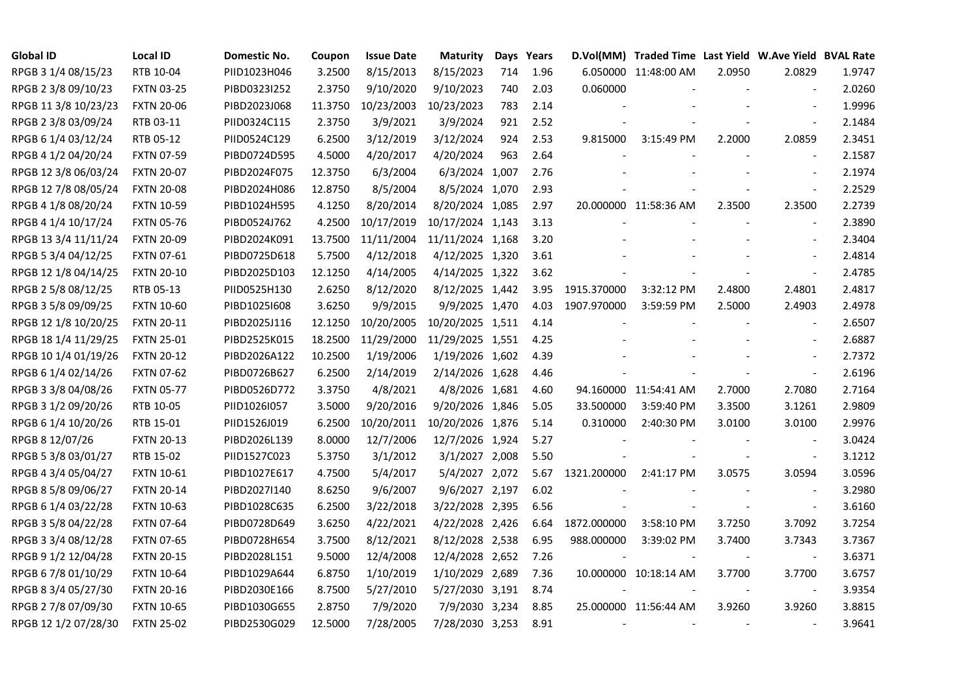| <b>Global ID</b>     | <b>Local ID</b>   | Domestic No. | Coupon  | <b>Issue Date</b> | <b>Maturity</b>  |     | Days Years |             | D.Vol(MM) Traded Time Last Yield W.Ave Yield BVAL Rate |        |                          |        |
|----------------------|-------------------|--------------|---------|-------------------|------------------|-----|------------|-------------|--------------------------------------------------------|--------|--------------------------|--------|
| RPGB 3 1/4 08/15/23  | RTB 10-04         | PIID1023H046 | 3.2500  | 8/15/2013         | 8/15/2023        | 714 | 1.96       |             | 6.050000 11:48:00 AM                                   | 2.0950 | 2.0829                   | 1.9747 |
| RPGB 2 3/8 09/10/23  | <b>FXTN 03-25</b> | PIBD0323I252 | 2.3750  | 9/10/2020         | 9/10/2023        | 740 | 2.03       | 0.060000    |                                                        |        |                          | 2.0260 |
| RPGB 11 3/8 10/23/23 | <b>FXTN 20-06</b> | PIBD2023J068 | 11.3750 | 10/23/2003        | 10/23/2023       | 783 | 2.14       |             |                                                        |        | $\overline{a}$           | 1.9996 |
| RPGB 2 3/8 03/09/24  | RTB 03-11         | PIID0324C115 | 2.3750  | 3/9/2021          | 3/9/2024         | 921 | 2.52       |             |                                                        |        | $\blacksquare$           | 2.1484 |
| RPGB 6 1/4 03/12/24  | RTB 05-12         | PIID0524C129 | 6.2500  | 3/12/2019         | 3/12/2024        | 924 | 2.53       | 9.815000    | 3:15:49 PM                                             | 2.2000 | 2.0859                   | 2.3451 |
| RPGB 4 1/2 04/20/24  | <b>FXTN 07-59</b> | PIBD0724D595 | 4.5000  | 4/20/2017         | 4/20/2024        | 963 | 2.64       |             |                                                        |        | $\overline{\phantom{a}}$ | 2.1587 |
| RPGB 12 3/8 06/03/24 | <b>FXTN 20-07</b> | PIBD2024F075 | 12.3750 | 6/3/2004          | 6/3/2024 1,007   |     | 2.76       |             |                                                        |        | $\sim$                   | 2.1974 |
| RPGB 12 7/8 08/05/24 | <b>FXTN 20-08</b> | PIBD2024H086 | 12.8750 | 8/5/2004          | 8/5/2024 1,070   |     | 2.93       |             |                                                        |        | $\sim$                   | 2.2529 |
| RPGB 4 1/8 08/20/24  | <b>FXTN 10-59</b> | PIBD1024H595 | 4.1250  | 8/20/2014         | 8/20/2024 1,085  |     | 2.97       |             | 20.000000 11:58:36 AM                                  | 2.3500 | 2.3500                   | 2.2739 |
| RPGB 4 1/4 10/17/24  | <b>FXTN 05-76</b> | PIBD0524J762 | 4.2500  | 10/17/2019        | 10/17/2024 1,143 |     | 3.13       |             |                                                        |        | $\overline{\phantom{a}}$ | 2.3890 |
| RPGB 13 3/4 11/11/24 | <b>FXTN 20-09</b> | PIBD2024K091 | 13.7500 | 11/11/2004        | 11/11/2024 1,168 |     | 3.20       |             |                                                        |        | $\mathbf{r}$             | 2.3404 |
| RPGB 5 3/4 04/12/25  | <b>FXTN 07-61</b> | PIBD0725D618 | 5.7500  | 4/12/2018         | 4/12/2025 1,320  |     | 3.61       |             |                                                        |        | $\overline{\phantom{a}}$ | 2.4814 |
| RPGB 12 1/8 04/14/25 | <b>FXTN 20-10</b> | PIBD2025D103 | 12.1250 | 4/14/2005         | 4/14/2025 1,322  |     | 3.62       |             |                                                        |        | $\blacksquare$           | 2.4785 |
| RPGB 2 5/8 08/12/25  | RTB 05-13         | PIID0525H130 | 2.6250  | 8/12/2020         | 8/12/2025 1,442  |     | 3.95       | 1915.370000 | 3:32:12 PM                                             | 2.4800 | 2.4801                   | 2.4817 |
| RPGB 3 5/8 09/09/25  | <b>FXTN 10-60</b> | PIBD10251608 | 3.6250  | 9/9/2015          | 9/9/2025 1,470   |     | 4.03       | 1907.970000 | 3:59:59 PM                                             | 2.5000 | 2.4903                   | 2.4978 |
| RPGB 12 1/8 10/20/25 | <b>FXTN 20-11</b> | PIBD2025J116 | 12.1250 | 10/20/2005        | 10/20/2025 1,511 |     | 4.14       |             |                                                        |        |                          | 2.6507 |
| RPGB 18 1/4 11/29/25 | <b>FXTN 25-01</b> | PIBD2525K015 | 18.2500 | 11/29/2000        | 11/29/2025 1,551 |     | 4.25       |             |                                                        |        | $\sim$                   | 2.6887 |
| RPGB 10 1/4 01/19/26 | <b>FXTN 20-12</b> | PIBD2026A122 | 10.2500 | 1/19/2006         | 1/19/2026 1,602  |     | 4.39       |             |                                                        |        | $\blacksquare$           | 2.7372 |
| RPGB 6 1/4 02/14/26  | <b>FXTN 07-62</b> | PIBD0726B627 | 6.2500  | 2/14/2019         | 2/14/2026 1,628  |     | 4.46       |             |                                                        |        | $\blacksquare$           | 2.6196 |
| RPGB 3 3/8 04/08/26  | <b>FXTN 05-77</b> | PIBD0526D772 | 3.3750  | 4/8/2021          | 4/8/2026 1,681   |     | 4.60       |             | 94.160000 11:54:41 AM                                  | 2.7000 | 2.7080                   | 2.7164 |
| RPGB 3 1/2 09/20/26  | RTB 10-05         | PIID1026I057 | 3.5000  | 9/20/2016         | 9/20/2026 1,846  |     | 5.05       | 33.500000   | 3:59:40 PM                                             | 3.3500 | 3.1261                   | 2.9809 |
| RPGB 6 1/4 10/20/26  | RTB 15-01         | PIID1526J019 | 6.2500  | 10/20/2011        | 10/20/2026 1,876 |     | 5.14       | 0.310000    | 2:40:30 PM                                             | 3.0100 | 3.0100                   | 2.9976 |
| RPGB 8 12/07/26      | <b>FXTN 20-13</b> | PIBD2026L139 | 8.0000  | 12/7/2006         | 12/7/2026 1,924  |     | 5.27       |             |                                                        |        |                          | 3.0424 |
| RPGB 5 3/8 03/01/27  | RTB 15-02         | PIID1527C023 | 5.3750  | 3/1/2012          | 3/1/2027 2,008   |     | 5.50       |             |                                                        |        | $\overline{\phantom{a}}$ | 3.1212 |
| RPGB 4 3/4 05/04/27  | <b>FXTN 10-61</b> | PIBD1027E617 | 4.7500  | 5/4/2017          | 5/4/2027 2,072   |     | 5.67       | 1321.200000 | 2:41:17 PM                                             | 3.0575 | 3.0594                   | 3.0596 |
| RPGB 8 5/8 09/06/27  | <b>FXTN 20-14</b> | PIBD2027I140 | 8.6250  | 9/6/2007          | 9/6/2027 2,197   |     | 6.02       |             |                                                        |        | $\blacksquare$           | 3.2980 |
| RPGB 6 1/4 03/22/28  | <b>FXTN 10-63</b> | PIBD1028C635 | 6.2500  | 3/22/2018         | 3/22/2028 2,395  |     | 6.56       |             |                                                        |        | $\blacksquare$           | 3.6160 |
| RPGB 3 5/8 04/22/28  | <b>FXTN 07-64</b> | PIBD0728D649 | 3.6250  | 4/22/2021         | 4/22/2028 2,426  |     | 6.64       | 1872.000000 | 3:58:10 PM                                             | 3.7250 | 3.7092                   | 3.7254 |
| RPGB 3 3/4 08/12/28  | <b>FXTN 07-65</b> | PIBD0728H654 | 3.7500  | 8/12/2021         | 8/12/2028 2,538  |     | 6.95       | 988.000000  | 3:39:02 PM                                             | 3.7400 | 3.7343                   | 3.7367 |
| RPGB 9 1/2 12/04/28  | <b>FXTN 20-15</b> | PIBD2028L151 | 9.5000  | 12/4/2008         | 12/4/2028 2,652  |     | 7.26       |             |                                                        |        |                          | 3.6371 |
| RPGB 67/8 01/10/29   | <b>FXTN 10-64</b> | PIBD1029A644 | 6.8750  | 1/10/2019         | 1/10/2029 2,689  |     | 7.36       |             | 10.000000 10:18:14 AM                                  | 3.7700 | 3.7700                   | 3.6757 |
| RPGB 8 3/4 05/27/30  | <b>FXTN 20-16</b> | PIBD2030E166 | 8.7500  | 5/27/2010         | 5/27/2030 3,191  |     | 8.74       |             |                                                        |        | $\blacksquare$           | 3.9354 |
| RPGB 2 7/8 07/09/30  | <b>FXTN 10-65</b> | PIBD1030G655 | 2.8750  | 7/9/2020          | 7/9/2030 3,234   |     | 8.85       |             | 25.000000 11:56:44 AM                                  | 3.9260 | 3.9260                   | 3.8815 |
| RPGB 12 1/2 07/28/30 | <b>FXTN 25-02</b> | PIBD2530G029 | 12.5000 | 7/28/2005         | 7/28/2030 3,253  |     | 8.91       |             |                                                        |        | $\overline{\phantom{a}}$ | 3.9641 |